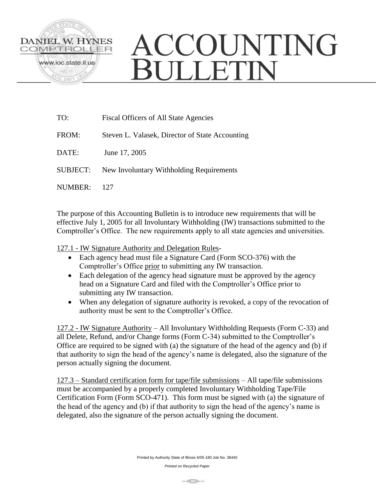

## ACCOUNTING **BULLETIN**

| TO:             | Fiscal Officers of All State Agencies           |
|-----------------|-------------------------------------------------|
| FROM:           | Steven L. Valasek, Director of State Accounting |
| DATE:           | June 17, 2005                                   |
| <b>SUBJECT:</b> | New Involuntary Withholding Requirements        |
| NUMBER:         | 127                                             |

The purpose of this Accounting Bulletin is to introduce new requirements that will be effective July 1, 2005 for all Involuntary Withholding (IW) transactions submitted to the Comptroller's Office. The new requirements apply to all state agencies and universities.

127.1 - IW Signature Authority and Delegation Rules-

- Each agency head must file a Signature Card (Form SCO-376) with the Comptroller's Office prior to submitting any IW transaction.
- Each delegation of the agency head signature must be approved by the agency head on a Signature Card and filed with the Comptroller's Office prior to submitting any IW transaction.
- When any delegation of signature authority is revoked, a copy of the revocation of authority must be sent to the Comptroller's Office.

127.2 - IW Signature Authority – All Involuntary Withholding Requests (Form C-33) and all Delete, Refund, and/or Change forms (Form C-34) submitted to the Comptroller's Office are required to be signed with (a) the signature of the head of the agency and (b) if that authority to sign the head of the agency's name is delegated, also the signature of the person actually signing the document.

127.3 – Standard certification form for tape/file submissions – All tape/file submissions must be accompanied by a properly completed Involuntary Withholding Tape/File Certification Form (Form SCO-471). This form must be signed with (a) the signature of the head of the agency and (b) if that authority to sign the head of the agency's name is delegated, also the signature of the person actually signing the document.

*Printed on Recycled Paper*